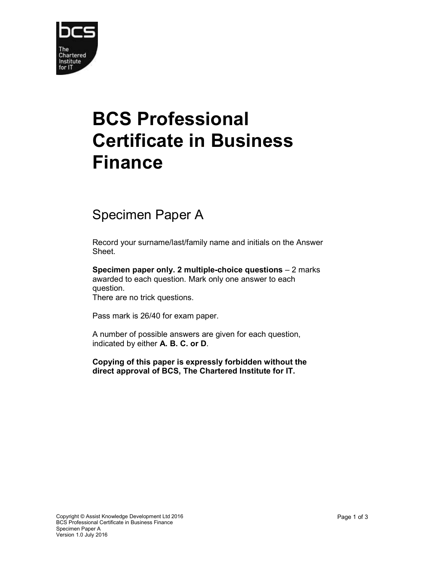

## BCS Professional Certificate in Business Finance

## Specimen Paper A

Record your surname/last/family name and initials on the Answer Sheet.

Specimen paper only. 2 multiple-choice questions – 2 marks awarded to each question. Mark only one answer to each question.

There are no trick questions.

Pass mark is 26/40 for exam paper.

A number of possible answers are given for each question, indicated by either A. B. C. or D.

Copying of this paper is expressly forbidden without the direct approval of BCS, The Chartered Institute for IT.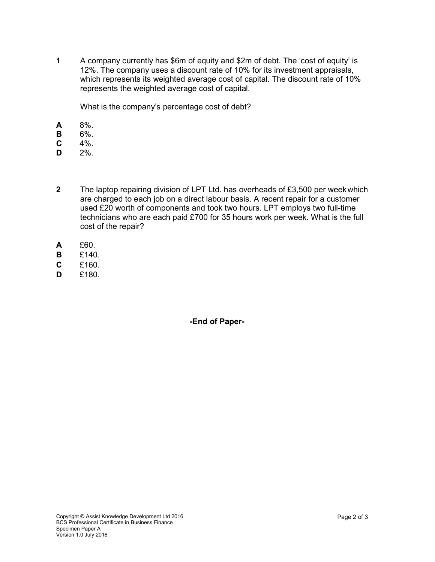1 A company currently has \$6m of equity and \$2m of debt. The 'cost of equity' is 12%. The company uses a discount rate of 10% for its investment appraisals, which represents its weighted average cost of capital. The discount rate of 10% represents the weighted average cost of capital.

What is the company's percentage cost of debt?

- A 8%.
- B 6%.
- $C = 4\%$ .
- $D = 2\%$ .
- 2 The laptop repairing division of LPT Ltd. has overheads of £3,500 per week which are charged to each job on a direct labour basis. A recent repair for a customer used £20 worth of components and took two hours. LPT employs two full-time technicians who are each paid £700 for 35 hours work per week. What is the full cost of the repair?
- A £60.
- B £140.
- C £160.
- $D$   $f180$

-End of Paper-